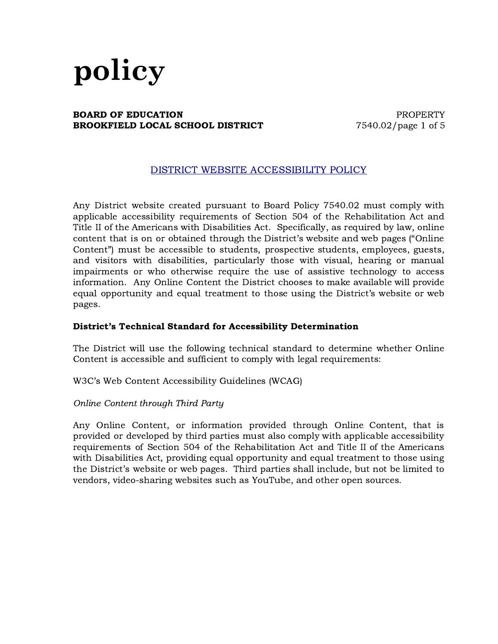### **BOARD OF EDUCATION EXECUTE:** THE RESERT PROPERTY **BROOKFIELD LOCAL SCHOOL DISTRICT** 7540.02/page 1 of 5

### DISTRICT WEBSITE ACCESSIBILITY POLICY

Any District website created pursuant to Board Policy 7540.02 must comply with applicable accessibility requirements of Section 504 of the Rehabilitation Act and Title II of the Americans with Disabilities Act. Specifically, as required by law, online content that is on or obtained through the District's website and web pages ("Online Content") must be accessible to students, prospective students, employees, guests, and visitors with disabilities, particularly those with visual, hearing or manual impairments or who otherwise require the use of assistive technology to access information. Any Online Content the District chooses to make available will provide equal opportunity and equal treatment to those using the District's website or web pages.

#### District's Technical Standard for Accessibility Determination

The District will use the following technical standard to determine whether Online Content is accessible and sufficient to comply with legal requirements:

W3C's Web Content Accessibility Guidelines (WCAG)

#### Online Content through Third Party

Any Online Content, or information provided through Online Content, that is provided or developed by third parties must also comply with applicable accessibility requirements of Section 504 of the Rehabilitation Act and Title II of the Americans with Disabilities Act, providing equal opportunity and equal treatment to those using the District's website or web pages. Third parties shall include, but not be limited to vendors, video-sharing websites such as YouTube, and other open sources.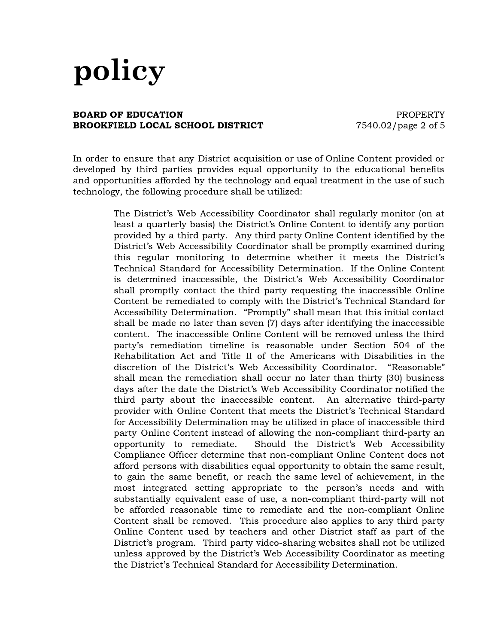#### **BOARD OF EDUCATION EXECUTE:** THE PROPERTY **BROOKFIELD LOCAL SCHOOL DISTRICT** 7540.02/page 2 of 5

In order to ensure that any District acquisition or use of Online Content provided or developed by third parties provides equal opportunity to the educational benefits and opportunities afforded by the technology and equal treatment in the use of such technology, the following procedure shall be utilized:

> The District's Web Accessibility Coordinator shall regularly monitor (on at least a quarterly basis) the District's Online Content to identify any portion provided by a third party. Any third party Online Content identified by the District's Web Accessibility Coordinator shall be promptly examined during this regular monitoring to determine whether it meets the District's Technical Standard for Accessibility Determination. If the Online Content is determined inaccessible, the District's Web Accessibility Coordinator shall promptly contact the third party requesting the inaccessible Online Content be remediated to comply with the District's Technical Standard for Accessibility Determination. "Promptly" shall mean that this initial contact shall be made no later than seven (7) days after identifying the inaccessible content. The inaccessible Online Content will be removed unless the third party's remediation timeline is reasonable under Section 504 of the Rehabilitation Act and Title II of the Americans with Disabilities in the discretion of the District's Web Accessibility Coordinator. "Reasonable" shall mean the remediation shall occur no later than thirty (30) business days after the date the District's Web Accessibility Coordinator notified the third party about the inaccessible content. An alternative third-party provider with Online Content that meets the District's Technical Standard for Accessibility Determination may be utilized in place of inaccessible third party Online Content instead of allowing the non-compliant third-party an opportunity to remediate. Should the District's Web Accessibility Compliance Officer determine that non-compliant Online Content does not afford persons with disabilities equal opportunity to obtain the same result, to gain the same benefit, or reach the same level of achievement, in the most integrated setting appropriate to the person's needs and with substantially equivalent ease of use, a non-compliant third-party will not be afforded reasonable time to remediate and the non-compliant Online Content shall be removed. This procedure also applies to any third party Online Content used by teachers and other District staff as part of the District's program. Third party video-sharing websites shall not be utilized unless approved by the District's Web Accessibility Coordinator as meeting the District's Technical Standard for Accessibility Determination.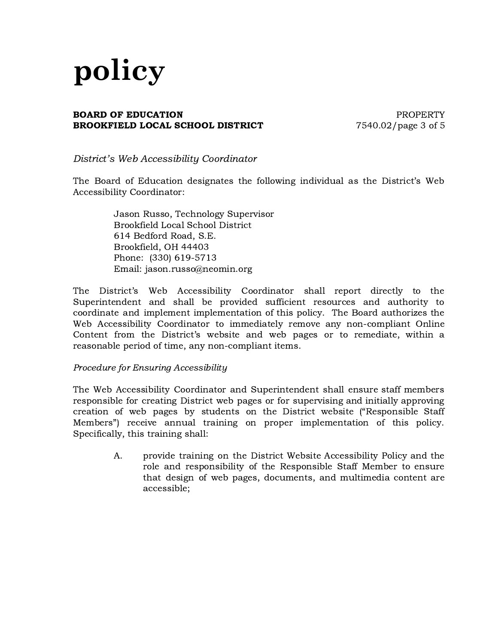### **BOARD OF EDUCATION EXECUTE: PROPERTY BROOKFIELD LOCAL SCHOOL DISTRICT** 7540.02/page 3 of 5

District's Web Accessibility Coordinator

The Board of Education designates the following individual as the District's Web Accessibility Coordinator:

> Jason Russo, Technology Supervisor Brookfield Local School District 614 Bedford Road, S.E. Brookfield, OH 44403 Phone: (330) 619-5713 Email: jason.russo@neomin.org

The District's Web Accessibility Coordinator shall report directly to the Superintendent and shall be provided sufficient resources and authority to coordinate and implement implementation of this policy. The Board authorizes the Web Accessibility Coordinator to immediately remove any non-compliant Online Content from the District's website and web pages or to remediate, within a reasonable period of time, any non-compliant items.

### Procedure for Ensuring Accessibility

The Web Accessibility Coordinator and Superintendent shall ensure staff members responsible for creating District web pages or for supervising and initially approving creation of web pages by students on the District website ("Responsible Staff Members") receive annual training on proper implementation of this policy. Specifically, this training shall:

> A. provide training on the District Website Accessibility Policy and the role and responsibility of the Responsible Staff Member to ensure that design of web pages, documents, and multimedia content are accessible;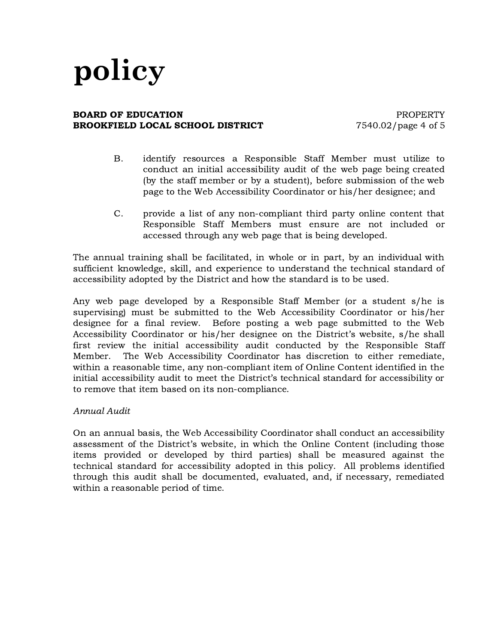#### **BOARD OF EDUCATION EXECUTE:** THE RESERT PROPERTY **BROOKFIELD LOCAL SCHOOL DISTRICT** 7540.02/page 4 of 5

- B. identify resources a Responsible Staff Member must utilize to conduct an initial accessibility audit of the web page being created (by the staff member or by a student), before submission of the web page to the Web Accessibility Coordinator or his/her designee; and
- C. provide a list of any non-compliant third party online content that Responsible Staff Members must ensure are not included or accessed through any web page that is being developed.

The annual training shall be facilitated, in whole or in part, by an individual with sufficient knowledge, skill, and experience to understand the technical standard of accessibility adopted by the District and how the standard is to be used.

Any web page developed by a Responsible Staff Member (or a student s/he is supervising) must be submitted to the Web Accessibility Coordinator or his/her designee for a final review. Before posting a web page submitted to the Web Accessibility Coordinator or his/her designee on the District's website, s/he shall first review the initial accessibility audit conducted by the Responsible Staff Member. The Web Accessibility Coordinator has discretion to either remediate, within a reasonable time, any non-compliant item of Online Content identified in the initial accessibility audit to meet the District's technical standard for accessibility or to remove that item based on its non-compliance.

### Annual Audit

On an annual basis, the Web Accessibility Coordinator shall conduct an accessibility assessment of the District's website, in which the Online Content (including those items provided or developed by third parties) shall be measured against the technical standard for accessibility adopted in this policy. All problems identified through this audit shall be documented, evaluated, and, if necessary, remediated within a reasonable period of time.